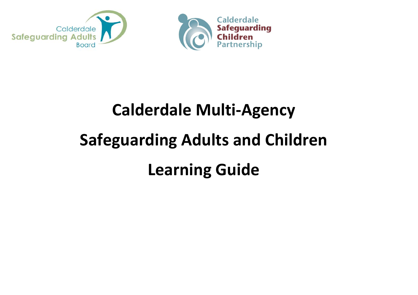



# **Calderdale Multi-Agency Safeguarding Adults and Children Learning Guide**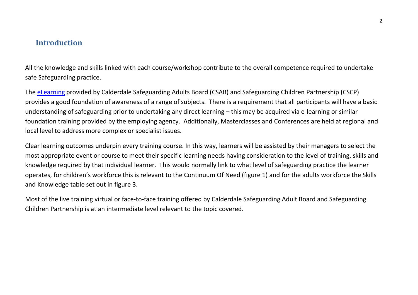## **Introduction**

All the knowledge and skills linked with each course/workshop contribute to the overall competence required to undertake safe Safeguarding practice.

The [eLearning](https://eur03.safelinks.protection.outlook.com/?url=https%3A%2F%2Fcalderdalescp.vc-enable.co.uk%2Fregister&data=04%7C01%7CLeanne.owen%40ckcareers.org.uk%7C65db17a19fd1433a110208d89c24385b%7C917739e5ba764314bf8806a914747ab9%7C0%7C0%7C637431026668531463%7CUnknown%7CTWFpbGZsb3d8eyJWIjoiMC4wLjAwMDAiLCJQIjoiV2luMzIiLCJBTiI6Ik1haWwiLCJXVCI6Mn0%3D%7C1000&sdata=hcJn3hUUq6tLBCGd9an2s7bRf96T8BZQfHgTNaHlcoU%3D&reserved=0) provided by Calderdale Safeguarding Adults Board (CSAB) and Safeguarding Children Partnership (CSCP) provides a good foundation of awareness of a range of subjects. There is a requirement that all participants will have a basic understanding of safeguarding prior to undertaking any direct learning – this may be acquired via e-learning or similar foundation training provided by the employing agency. Additionally, Masterclasses and Conferences are held at regional and local level to address more complex or specialist issues.

Clear learning outcomes underpin every training course. In this way, learners will be assisted by their managers to select the most appropriate event or course to meet their specific learning needs having consideration to the level of training, skills and knowledge required by that individual learner. This would normally link to what level of safeguarding practice the learner operates, for children's workforce this is relevant to the Continuum Of Need (figure 1) and for the adults workforce the Skills and Knowledge table set out in figure 3.

Most of the live training virtual or face-to-face training offered by Calderdale Safeguarding Adult Board and Safeguarding Children Partnership is at an intermediate level relevant to the topic covered.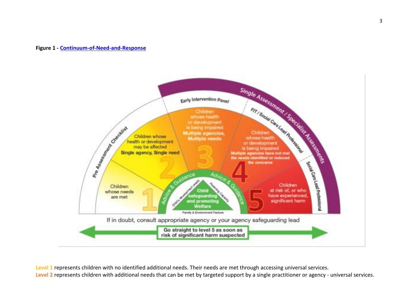#### **Figure 1 - [Continuum-of-Need-and-Response](https://safeguarding.calderdale.gov.uk/wp-content/uploads/2021/09/Continuum-of-Need-and-Response-2021.pdf)**



**Level 1** represents children with no identified additional needs. Their needs are met through accessing universal services. **Level 2** represents children with additional needs that can be met by targeted support by a single practitioner or agency - universal services.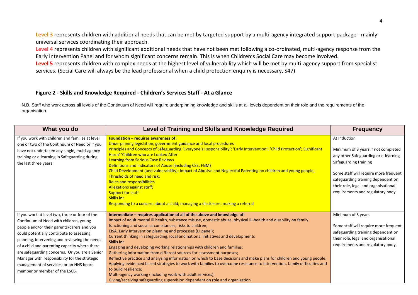**Level 3** represents children with additional needs that can be met by targeted support by a multi-agency integrated support package - mainly universal services coordinating their approach.

**Level 4** represents children with significant additional needs that have not been met following a co-ordinated, multi-agency response from the Early Intervention Panel and for whom significant concerns remain. This is when Children's Social Care may become involved.

**Level 5** represents children with complex needs at the highest level of vulnerability which will be met by multi-agency support from specialist services. (Social Care will always be the lead professional when a child protection enquiry is necessary, S47)

#### **Figure 2 - Skills and Knowledge Required - Children's Services Staff - At a Glance**

N.B. Staff who work across all levels of the Continuum of Need will require underpinning knowledge and skills at all levels dependent on their role and the requirements of the organisation.

| What you do                                                                                                                                                                                                                                                                                                                                                                                                                                                           | <b>Level of Training and Skills and Knowledge Required</b>                                                                                                                                                                                                                                                                                                                                                                                                                                                                                                                                                                                                                                                                                                                                                                                                                                                                                                                                                       | <b>Frequency</b>                                                                                                                                                                                                                                                                 |
|-----------------------------------------------------------------------------------------------------------------------------------------------------------------------------------------------------------------------------------------------------------------------------------------------------------------------------------------------------------------------------------------------------------------------------------------------------------------------|------------------------------------------------------------------------------------------------------------------------------------------------------------------------------------------------------------------------------------------------------------------------------------------------------------------------------------------------------------------------------------------------------------------------------------------------------------------------------------------------------------------------------------------------------------------------------------------------------------------------------------------------------------------------------------------------------------------------------------------------------------------------------------------------------------------------------------------------------------------------------------------------------------------------------------------------------------------------------------------------------------------|----------------------------------------------------------------------------------------------------------------------------------------------------------------------------------------------------------------------------------------------------------------------------------|
| If you work with children and families at level<br>one or two of the Continuum of Need or if you<br>have not undertaken any single, multi-agency<br>training or e-learning in Safeguarding during<br>the last three years                                                                                                                                                                                                                                             | Foundation $-$ requires awareness of :<br>Underpinning legislation, government guidance and local procedures<br>Principles and Concepts of Safeguarding 'Everyone's Responsibility'; 'Early Intervention'; 'Child Protection'; Significant<br>Harm' 'Children who are Looked After'<br><b>Learning from Serious Case Reviews</b><br>Definitions and Indicators of Abuse (including CSE, FGM)<br>Child Development (and vulnerability); Impact of Abusive and Neglectful Parenting on children and young people;<br>Thresholds of need and risk;<br><b>Roles and responsibilities</b><br><b>Allegations against staff;</b><br><b>Support for staff</b><br><b>Skills in:</b><br>Responding to a concern about a child; managing a disclosure; making a referral                                                                                                                                                                                                                                                    | At Induction<br>Minimum of 3 years if not completed<br>any other Safeguarding or e-learning<br>Safeguarding training<br>Some staff will require more frequent<br>safeguarding training dependent on<br>their role, legal and organisational<br>requirements and regulatory body. |
| If you work at level two, three or four of the<br>Continuum of Need with children, young<br>people and/or their parents/carers and you<br>could potentially contribute to assessing,<br>planning, intervening and reviewing the needs<br>of a child and parenting capacity where there<br>are safeguarding concerns. Or you are a Senior<br>Manager with responsibility for the strategic<br>management of services; or an NHS board<br>member or member of the LSCB. | Intermediate - requires application of all of the above and knowledge of:<br>Impact of adult mental ill health, substance misuse, domestic abuse, physical ill-health and disability on family<br>functioning and social circumstances; risks to children;<br>EISA, Early Intervention planning and processes (EI panel);<br>Current thinking in safeguarding, local and national initiatives and developments<br>Skills in:<br>Engaging and developing working relationships with children and families;<br>Gathering information from different sources for assessment purposes;<br>Reflective practice and analysing information on which to base decisions and make plans for children and young people;<br>Applying evidenced based strategies to work with families to overcome resistance to intervention, family difficulties and<br>to build resilience;<br>Multi-agency working (including work with adult services);<br>Giving/receiving safeguarding supervision dependent on role and organisation. | Minimum of 3 years<br>Some staff will require more frequent<br>safeguarding training dependent on<br>their role, legal and organisational<br>requirements and regulatory body.                                                                                                   |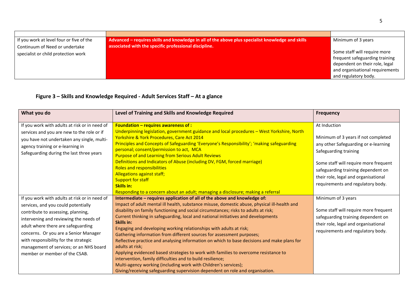| If you work at level four or five of the | Advanced – requires skills and knowledge in all of the above plus specialist knowledge and skills | Minimum of 3 years                                                                                                                                          |
|------------------------------------------|---------------------------------------------------------------------------------------------------|-------------------------------------------------------------------------------------------------------------------------------------------------------------|
| Continuum of Need or undertake           | associated with the specific professional discipline.                                             |                                                                                                                                                             |
| specialist or child protection work      |                                                                                                   | Some staff will require more<br>frequent safeguarding training<br>dependent on their role, legal<br>and organisational requirements<br>and regulatory body. |

### **Figure 3 – Skills and Knowledge Required - Adult Services Staff – At a glance**

| What you do                                                                                                                                                                                                               | Level of Training and Skills and Knowledge Required                                                                                                                                                                                                                                                                                           | <b>Frequency</b>                                                                                                                                         |
|---------------------------------------------------------------------------------------------------------------------------------------------------------------------------------------------------------------------------|-----------------------------------------------------------------------------------------------------------------------------------------------------------------------------------------------------------------------------------------------------------------------------------------------------------------------------------------------|----------------------------------------------------------------------------------------------------------------------------------------------------------|
| If you work with adults at risk or in need of<br>services and you are new to the role or if<br>you have not undertaken any single, multi-<br>agency training or e-learning in<br>Safeguarding during the last three years | Foundation - requires awareness of :<br>Underpinning legislation, government guidance and local procedures - West Yorkshire, North<br>Yorkshire & York Procedures, Care Act 2014<br>Principles and Concepts of Safeguarding 'Everyone's Responsibility'; 'making safeguarding<br>personal; consent/permission to act, MCA                     | At Induction<br>Minimum of 3 years if not completed<br>any other Safeguarding or e-learning<br>Safeguarding training                                     |
|                                                                                                                                                                                                                           | <b>Purpose of and Learning from Serious Adult Reviews</b><br>Definitions and Indicators of Abuse (including DV, FGM, forced marriage)<br><b>Roles and responsibilities</b><br>Allegations against staff;<br><b>Support for staff</b><br><b>Skills in:</b><br>Responding to a concern about an adult; managing a disclosure; making a referral | Some staff will require more frequent<br>safeguarding training dependent on<br>their role, legal and organisational<br>requirements and regulatory body. |
| If you work with adults at risk or in need of<br>services, and you could potentially                                                                                                                                      | Intermediate - requires application of all of the above and knowledge of:<br>Impact of adult mental ill health, substance misuse, domestic abuse, physical ill-health and                                                                                                                                                                     | Minimum of 3 years                                                                                                                                       |
| contribute to assessing, planning,<br>intervening and reviewing the needs of<br>adult where there are safeguarding                                                                                                        | disability on family functioning and social circumstances; risks to adults at risk;<br>Current thinking in safeguarding, local and national initiatives and developments<br>Skills in:<br>Engaging and developing working relationships with adults at risk;                                                                                  | Some staff will require more frequent<br>safeguarding training dependent on<br>their role, legal and organisational                                      |
| concerns. Or you are a Senior Manager<br>with responsibility for the strategic<br>management of services; or an NHS board                                                                                                 | Gathering information from different sources for assessment purposes;<br>Reflective practice and analysing information on which to base decisions and make plans for<br>adults at risk;                                                                                                                                                       | requirements and regulatory body.                                                                                                                        |
| member or member of the CSAB.                                                                                                                                                                                             | Applying evidenced based strategies to work with families to overcome resistance to<br>intervention, family difficulties and to build resilience;<br>Multi-agency working (including work with Children's services);<br>Giving/receiving safeguarding supervision dependent on role and organisation.                                         |                                                                                                                                                          |